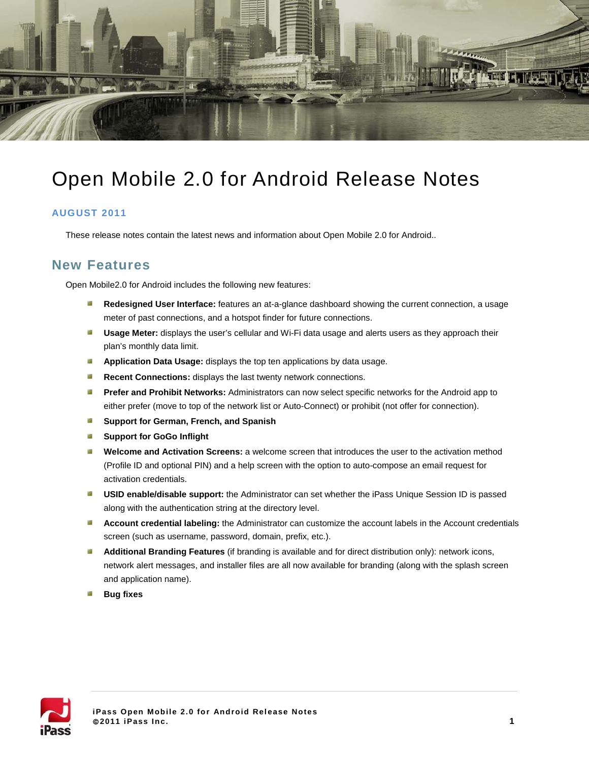

# Open Mobile 2.0 for Android Release Notes

#### **AUGUST 2011**

These release notes contain the latest news and information about Open Mobile 2.0 for Android..

### **New Features**

Open Mobile2.0 for Android includes the following new features:

- **Redesigned User Interface:** features an at-a-glance dashboard showing the current connection, a usage  $\mathcal{A}$ meter of past connections, and a hotspot finder for future connections.
- **Usage Meter:** displays the user's cellular and Wi-Fi data usage and alerts users as they approach their plan's monthly data limit.
- **Application Data Usage:** displays the top ten applications by data usage.
- **Recent Connections:** displays the last twenty network connections.
- **Prefer and Prohibit Networks:** Administrators can now select specific networks for the Android app to either prefer (move to top of the network list or Auto-Connect) or prohibit (not offer for connection).
- $\mathcal{L}$ **Support for German, French, and Spanish**
- $\mathbb{R}^2$ **Support for GoGo Inflight**
- **Welcome and Activation Screens:** a welcome screen that introduces the user to the activation method (Profile ID and optional PIN) and a help screen with the option to auto-compose an email request for activation credentials.
- **USID enable/disable support:** the Administrator can set whether the iPass Unique Session ID is passed along with the authentication string at the directory level.
- **Account credential labeling:** the Administrator can customize the account labels in the Account credentials screen (such as username, password, domain, prefix, etc.).
- **Additional Branding Features** (if branding is available and for direct distribution only): network icons, network alert messages, and installer files are all now available for branding (along with the splash screen and application name).
- **Bug fixes**

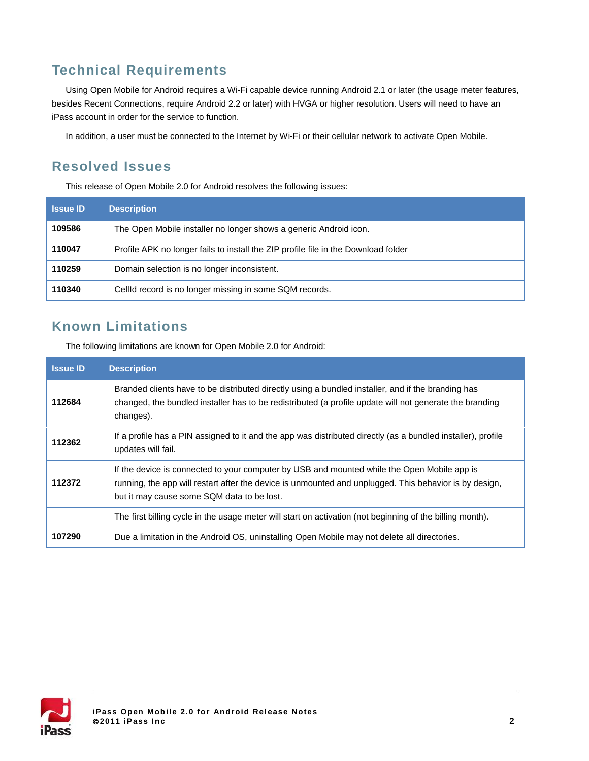# **Technical Requirements**

Using Open Mobile for Android requires a Wi-Fi capable device running Android 2.1 or later (the usage meter features, besides Recent Connections, require Android 2.2 or later) with HVGA or higher resolution. Users will need to have an iPass account in order for the service to function.

In addition, a user must be connected to the Internet by Wi-Fi or their cellular network to activate Open Mobile.

### **Resolved Issues**

This release of Open Mobile 2.0 for Android resolves the following issues:

| <b>Issue ID</b> | <b>Description</b>                                                                 |
|-----------------|------------------------------------------------------------------------------------|
| 109586          | The Open Mobile installer no longer shows a generic Android icon.                  |
| 110047          | Profile APK no longer fails to install the ZIP profile file in the Download folder |
| 110259          | Domain selection is no longer inconsistent.                                        |
| 110340          | CellId record is no longer missing in some SQM records.                            |

## **Known Limitations**

The following limitations are known for Open Mobile 2.0 for Android:

| <b>Issue ID</b> | <b>Description</b>                                                                                                                                                                                                                                  |
|-----------------|-----------------------------------------------------------------------------------------------------------------------------------------------------------------------------------------------------------------------------------------------------|
| 112684          | Branded clients have to be distributed directly using a bundled installer, and if the branding has<br>changed, the bundled installer has to be redistributed (a profile update will not generate the branding<br>changes).                          |
| 112362          | If a profile has a PIN assigned to it and the app was distributed directly (as a bundled installer), profile<br>updates will fail.                                                                                                                  |
| 112372          | If the device is connected to your computer by USB and mounted while the Open Mobile app is<br>running, the app will restart after the device is unmounted and unplugged. This behavior is by design,<br>but it may cause some SQM data to be lost. |
|                 | The first billing cycle in the usage meter will start on activation (not beginning of the billing month).                                                                                                                                           |
| 107290          | Due a limitation in the Android OS, uninstalling Open Mobile may not delete all directories.                                                                                                                                                        |